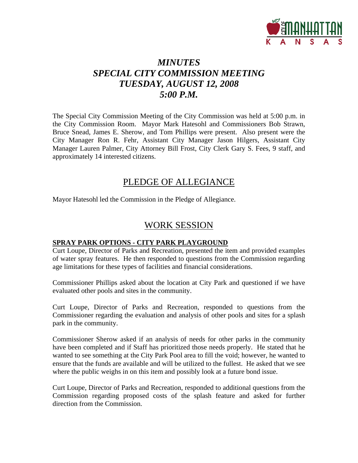

## *MINUTES SPECIAL CITY COMMISSION MEETING TUESDAY, AUGUST 12, 2008 5:00 P.M.*

The Special City Commission Meeting of the City Commission was held at 5:00 p.m. in the City Commission Room. Mayor Mark Hatesohl and Commissioners Bob Strawn, Bruce Snead, James E. Sherow, and Tom Phillips were present. Also present were the City Manager Ron R. Fehr, Assistant City Manager Jason Hilgers, Assistant City Manager Lauren Palmer, City Attorney Bill Frost, City Clerk Gary S. Fees, 9 staff, and approximately 14 interested citizens.

### PLEDGE OF ALLEGIANCE

Mayor Hatesohl led the Commission in the Pledge of Allegiance.

### WORK SESSION

### **SPRAY PARK OPTIONS - CITY PARK PLAYGROUND**

Curt Loupe, Director of Parks and Recreation, presented the item and provided examples of water spray features. He then responded to questions from the Commission regarding age limitations for these types of facilities and financial considerations.

Commissioner Phillips asked about the location at City Park and questioned if we have evaluated other pools and sites in the community.

Curt Loupe, Director of Parks and Recreation, responded to questions from the Commissioner regarding the evaluation and analysis of other pools and sites for a splash park in the community.

Commissioner Sherow asked if an analysis of needs for other parks in the community have been completed and if Staff has prioritized those needs properly. He stated that he wanted to see something at the City Park Pool area to fill the void; however, he wanted to ensure that the funds are available and will be utilized to the fullest. He asked that we see where the public weighs in on this item and possibly look at a future bond issue.

Curt Loupe, Director of Parks and Recreation, responded to additional questions from the Commission regarding proposed costs of the splash feature and asked for further direction from the Commission.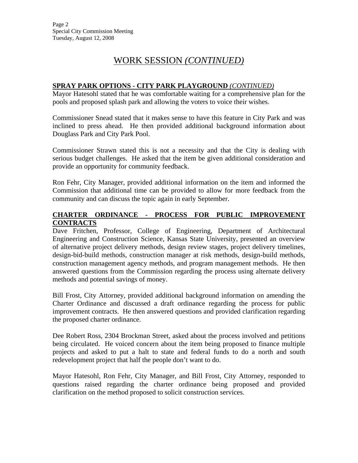## WORK SESSION *(CONTINUED)*

### **SPRAY PARK OPTIONS - CITY PARK PLAYGROUND** *(CONTINUED)*

Mayor Hatesohl stated that he was comfortable waiting for a comprehensive plan for the pools and proposed splash park and allowing the voters to voice their wishes.

Commissioner Snead stated that it makes sense to have this feature in City Park and was inclined to press ahead. He then provided additional background information about Douglass Park and City Park Pool.

Commissioner Strawn stated this is not a necessity and that the City is dealing with serious budget challenges. He asked that the item be given additional consideration and provide an opportunity for community feedback.

Ron Fehr, City Manager, provided additional information on the item and informed the Commission that additional time can be provided to allow for more feedback from the community and can discuss the topic again in early September.

### **CHARTER ORDINANCE - PROCESS FOR PUBLIC IMPROVEMENT CONTRACTS**

Dave Fritchen, Professor, College of Engineering, Department of Architectural Engineering and Construction Science, Kansas State University, presented an overview of alternative project delivery methods, design review stages, project delivery timelines, design-bid-build methods, construction manager at risk methods, design-build methods, construction management agency methods, and program management methods. He then answered questions from the Commission regarding the process using alternate delivery methods and potential savings of money.

Bill Frost, City Attorney, provided additional background information on amending the Charter Ordinance and discussed a draft ordinance regarding the process for public improvement contracts. He then answered questions and provided clarification regarding the proposed charter ordinance.

Dee Robert Ross, 2304 Brockman Street, asked about the process involved and petitions being circulated. He voiced concern about the item being proposed to finance multiple projects and asked to put a halt to state and federal funds to do a north and south redevelopment project that half the people don't want to do.

Mayor Hatesohl, Ron Fehr, City Manager, and Bill Frost, City Attorney, responded to questions raised regarding the charter ordinance being proposed and provided clarification on the method proposed to solicit construction services.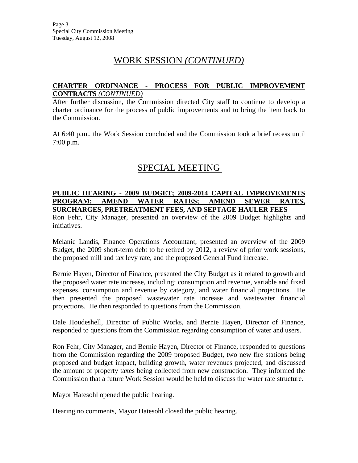### WORK SESSION *(CONTINUED)*

#### **CHARTER ORDINANCE - PROCESS FOR PUBLIC IMPROVEMENT CONTRACTS** *(CONTINUED)*

After further discussion, the Commission directed City staff to continue to develop a charter ordinance for the process of public improvements and to bring the item back to the Commission.

At 6:40 p.m., the Work Session concluded and the Commission took a brief recess until 7:00 p.m.

### SPECIAL MEETING

#### **PUBLIC HEARING - 2009 BUDGET; 2009-2014 CAPITAL IMPROVEMENTS PROGRAM; AMEND WATER RATES; AMEND SEWER RATES, SURCHARGES, PRETREATMENT FEES, AND SEPTAGE HAULER FEES**

Ron Fehr, City Manager, presented an overview of the 2009 Budget highlights and initiatives.

Melanie Landis, Finance Operations Accountant, presented an overview of the 2009 Budget, the 2009 short-term debt to be retired by 2012, a review of prior work sessions, the proposed mill and tax levy rate, and the proposed General Fund increase.

Bernie Hayen, Director of Finance, presented the City Budget as it related to growth and the proposed water rate increase, including: consumption and revenue, variable and fixed expenses, consumption and revenue by category, and water financial projections. He then presented the proposed wastewater rate increase and wastewater financial projections. He then responded to questions from the Commission.

Dale Houdeshell, Director of Public Works, and Bernie Hayen, Director of Finance, responded to questions from the Commission regarding consumption of water and users.

Ron Fehr, City Manager, and Bernie Hayen, Director of Finance, responded to questions from the Commission regarding the 2009 proposed Budget, two new fire stations being proposed and budget impact, building growth, water revenues projected, and discussed the amount of property taxes being collected from new construction. They informed the Commission that a future Work Session would be held to discuss the water rate structure.

Mayor Hatesohl opened the public hearing.

Hearing no comments, Mayor Hatesohl closed the public hearing.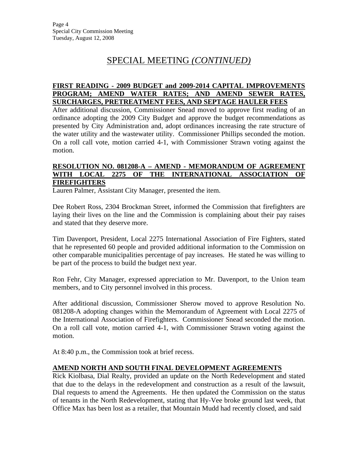#### **FIRST READING - 2009 BUDGET and 2009-2014 CAPITAL IMPROVEMENTS PROGRAM; AMEND WATER RATES; AND AMEND SEWER RATES, SURCHARGES, PRETREATMENT FEES, AND SEPTAGE HAULER FEES**

After additional discussion, Commissioner Snead moved to approve first reading of an ordinance adopting the 2009 City Budget and approve the budget recommendations as presented by City Administration and, adopt ordinances increasing the rate structure of the water utility and the wastewater utility. Commissioner Phillips seconded the motion. On a roll call vote, motion carried 4-1, with Commissioner Strawn voting against the motion.

#### **RESOLUTION NO. 081208-A – AMEND - MEMORANDUM OF AGREEMENT WITH LOCAL 2275 OF THE INTERNATIONAL ASSOCIATION OF FIREFIGHTERS**

Lauren Palmer, Assistant City Manager, presented the item.

Dee Robert Ross, 2304 Brockman Street, informed the Commission that firefighters are laying their lives on the line and the Commission is complaining about their pay raises and stated that they deserve more.

Tim Davenport, President, Local 2275 International Association of Fire Fighters, stated that he represented 60 people and provided additional information to the Commission on other comparable municipalities percentage of pay increases. He stated he was willing to be part of the process to build the budget next year.

Ron Fehr, City Manager, expressed appreciation to Mr. Davenport, to the Union team members, and to City personnel involved in this process.

After additional discussion, Commissioner Sherow moved to approve Resolution No. 081208-A adopting changes within the Memorandum of Agreement with Local 2275 of the International Association of Firefighters. Commissioner Snead seconded the motion. On a roll call vote, motion carried 4-1, with Commissioner Strawn voting against the motion.

At 8:40 p.m., the Commission took at brief recess.

### **AMEND NORTH AND SOUTH FINAL DEVELOPMENT AGREEMENTS**

Rick Kiolbasa, Dial Realty, provided an update on the North Redevelopment and stated that due to the delays in the redevelopment and construction as a result of the lawsuit, Dial requests to amend the Agreements. He then updated the Commission on the status of tenants in the North Redevelopment, stating that Hy-Vee broke ground last week, that Office Max has been lost as a retailer, that Mountain Mudd had recently closed, and said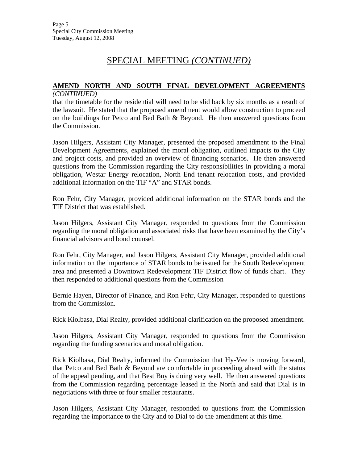#### **AMEND NORTH AND SOUTH FINAL DEVELOPMENT AGREEMENTS** *(CONTINUED)*

that the timetable for the residential will need to be slid back by six months as a result of the lawsuit. He stated that the proposed amendment would allow construction to proceed on the buildings for Petco and Bed Bath & Beyond. He then answered questions from the Commission.

Jason Hilgers, Assistant City Manager, presented the proposed amendment to the Final Development Agreements, explained the moral obligation, outlined impacts to the City and project costs, and provided an overview of financing scenarios. He then answered questions from the Commission regarding the City responsibilities in providing a moral obligation, Westar Energy relocation, North End tenant relocation costs, and provided additional information on the TIF "A" and STAR bonds.

Ron Fehr, City Manager, provided additional information on the STAR bonds and the TIF District that was established.

Jason Hilgers, Assistant City Manager, responded to questions from the Commission regarding the moral obligation and associated risks that have been examined by the City's financial advisors and bond counsel.

Ron Fehr, City Manager, and Jason Hilgers, Assistant City Manager, provided additional information on the importance of STAR bonds to be issued for the South Redevelopment area and presented a Downtown Redevelopment TIF District flow of funds chart. They then responded to additional questions from the Commission

Bernie Hayen, Director of Finance, and Ron Fehr, City Manager, responded to questions from the Commission.

Rick Kiolbasa, Dial Realty, provided additional clarification on the proposed amendment.

Jason Hilgers, Assistant City Manager, responded to questions from the Commission regarding the funding scenarios and moral obligation.

Rick Kiolbasa, Dial Realty, informed the Commission that Hy-Vee is moving forward, that Petco and Bed Bath & Beyond are comfortable in proceeding ahead with the status of the appeal pending, and that Best Buy is doing very well. He then answered questions from the Commission regarding percentage leased in the North and said that Dial is in negotiations with three or four smaller restaurants.

Jason Hilgers, Assistant City Manager, responded to questions from the Commission regarding the importance to the City and to Dial to do the amendment at this time.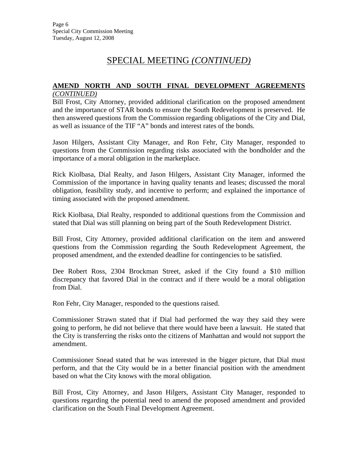#### **AMEND NORTH AND SOUTH FINAL DEVELOPMENT AGREEMENTS** *(CONTINUED)*

Bill Frost, City Attorney, provided additional clarification on the proposed amendment and the importance of STAR bonds to ensure the South Redevelopment is preserved. He then answered questions from the Commission regarding obligations of the City and Dial, as well as issuance of the TIF "A" bonds and interest rates of the bonds.

Jason Hilgers, Assistant City Manager, and Ron Fehr, City Manager, responded to questions from the Commission regarding risks associated with the bondholder and the importance of a moral obligation in the marketplace.

Rick Kiolbasa, Dial Realty, and Jason Hilgers, Assistant City Manager, informed the Commission of the importance in having quality tenants and leases; discussed the moral obligation, feasibility study, and incentive to perform; and explained the importance of timing associated with the proposed amendment.

Rick Kiolbasa, Dial Realty, responded to additional questions from the Commission and stated that Dial was still planning on being part of the South Redevelopment District.

Bill Frost, City Attorney, provided additional clarification on the item and answered questions from the Commission regarding the South Redevelopment Agreement, the proposed amendment, and the extended deadline for contingencies to be satisfied.

Dee Robert Ross, 2304 Brockman Street, asked if the City found a \$10 million discrepancy that favored Dial in the contract and if there would be a moral obligation from Dial.

Ron Fehr, City Manager, responded to the questions raised.

Commissioner Strawn stated that if Dial had performed the way they said they were going to perform, he did not believe that there would have been a lawsuit. He stated that the City is transferring the risks onto the citizens of Manhattan and would not support the amendment.

Commissioner Snead stated that he was interested in the bigger picture, that Dial must perform, and that the City would be in a better financial position with the amendment based on what the City knows with the moral obligation.

Bill Frost, City Attorney, and Jason Hilgers, Assistant City Manager, responded to questions regarding the potential need to amend the proposed amendment and provided clarification on the South Final Development Agreement.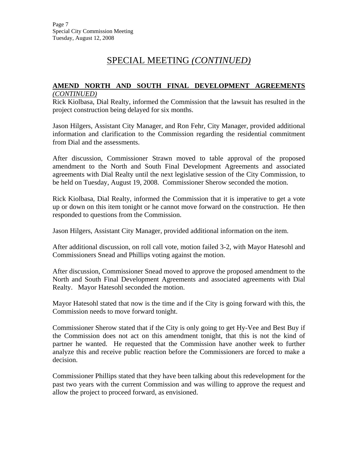#### **AMEND NORTH AND SOUTH FINAL DEVELOPMENT AGREEMENTS** *(CONTINUED)*

Rick Kiolbasa, Dial Realty, informed the Commission that the lawsuit has resulted in the project construction being delayed for six months.

Jason Hilgers, Assistant City Manager, and Ron Fehr, City Manager, provided additional information and clarification to the Commission regarding the residential commitment from Dial and the assessments.

After discussion, Commissioner Strawn moved to table approval of the proposed amendment to the North and South Final Development Agreements and associated agreements with Dial Realty until the next legislative session of the City Commission, to be held on Tuesday, August 19, 2008. Commissioner Sherow seconded the motion.

Rick Kiolbasa, Dial Realty, informed the Commission that it is imperative to get a vote up or down on this item tonight or he cannot move forward on the construction. He then responded to questions from the Commission.

Jason Hilgers, Assistant City Manager, provided additional information on the item.

After additional discussion, on roll call vote, motion failed 3-2, with Mayor Hatesohl and Commissioners Snead and Phillips voting against the motion.

After discussion, Commissioner Snead moved to approve the proposed amendment to the North and South Final Development Agreements and associated agreements with Dial Realty. Mayor Hatesohl seconded the motion.

Mayor Hatesohl stated that now is the time and if the City is going forward with this, the Commission needs to move forward tonight.

Commissioner Sherow stated that if the City is only going to get Hy-Vee and Best Buy if the Commission does not act on this amendment tonight, that this is not the kind of partner he wanted. He requested that the Commission have another week to further analyze this and receive public reaction before the Commissioners are forced to make a decision.

Commissioner Phillips stated that they have been talking about this redevelopment for the past two years with the current Commission and was willing to approve the request and allow the project to proceed forward, as envisioned.